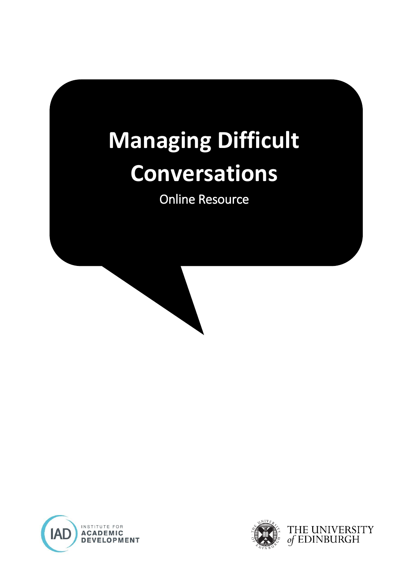# **Managing Difficult Conversations**

Online Resource



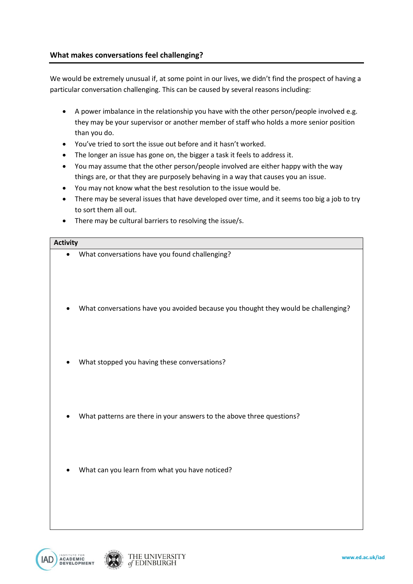We would be extremely unusual if, at some point in our lives, we didn't find the prospect of having a particular conversation challenging. This can be caused by several reasons including:

- A power imbalance in the relationship you have with the other person/people involved e.g. they may be your supervisor or another member of staff who holds a more senior position than you do.
- You've tried to sort the issue out before and it hasn't worked.
- The longer an issue has gone on, the bigger a task it feels to address it.
- You may assume that the other person/people involved are either happy with the way things are, or that they are purposely behaving in a way that causes you an issue.
- You may not know what the best resolution to the issue would be.
- There may be several issues that have developed over time, and it seems too big a job to try to sort them all out.
- There may be cultural barriers to resolving the issue/s.

#### **Activity**

- What conversations have you found challenging?
- What conversations have you avoided because you thought they would be challenging?
- What stopped you having these conversations?
- What patterns are there in your answers to the above three questions?
- What can you learn from what you have noticed?



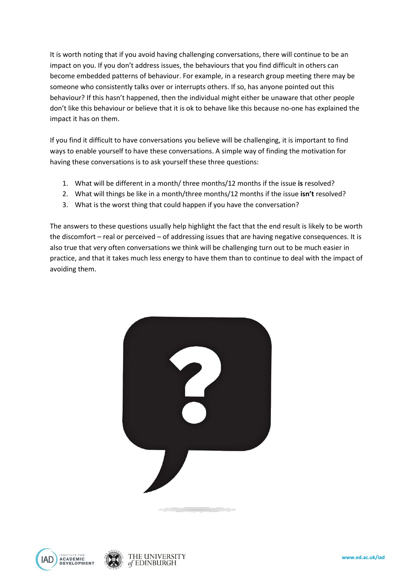It is worth noting that if you avoid having challenging conversations, there will continue to be an impact on you. If you don't address issues, the behaviours that you find difficult in others can become embedded patterns of behaviour. For example, in a research group meeting there may be someone who consistently talks over or interrupts others. If so, has anyone pointed out this behaviour? If this hasn't happened, then the individual might either be unaware that other people don't like this behaviour or believe that it is ok to behave like this because no-one has explained the impact it has on them.

If you find it difficult to have conversations you believe will be challenging, it is important to find ways to enable yourself to have these conversations. A simple way of finding the motivation for having these conversations is to ask yourself these three questions:

- 1. What will be different in a month/ three months/12 months if the issue **is** resolved?
- 2. What will things be like in a month/three months/12 months if the issue **isn't** resolved?
- 3. What is the worst thing that could happen if you have the conversation?

The answers to these questions usually help highlight the fact that the end result is likely to be worth the discomfort – real or perceived – of addressing issues that are having negative consequences. It is also true that very often conversations we think will be challenging turn out to be much easier in practice, and that it takes much less energy to have them than to continue to deal with the impact of avoiding them.







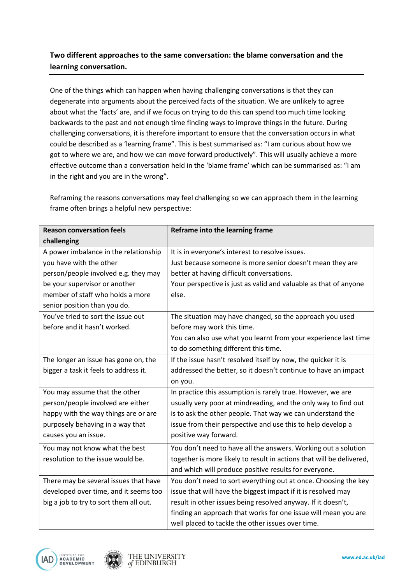## **Two different approaches to the same conversation: the blame conversation and the learning conversation.**

One of the things which can happen when having challenging conversations is that they can degenerate into arguments about the perceived facts of the situation. We are unlikely to agree about what the 'facts' are, and if we focus on trying to do this can spend too much time looking backwards to the past and not enough time finding ways to improve things in the future. During challenging conversations, it is therefore important to ensure that the conversation occurs in what could be described as a 'learning frame". This is best summarised as: "I am curious about how we got to where we are, and how we can move forward productively". This will usually achieve a more effective outcome than a conversation held in the 'blame frame' which can be summarised as: "I am in the right and you are in the wrong".

Reframing the reasons conversations may feel challenging so we can approach them in the learning frame often brings a helpful new perspective:

| <b>Reason conversation feels</b>       | Reframe into the learning frame                                      |
|----------------------------------------|----------------------------------------------------------------------|
| challenging                            |                                                                      |
| A power imbalance in the relationship  | It is in everyone's interest to resolve issues.                      |
| you have with the other                | Just because someone is more senior doesn't mean they are            |
| person/people involved e.g. they may   | better at having difficult conversations.                            |
| be your supervisor or another          | Your perspective is just as valid and valuable as that of anyone     |
| member of staff who holds a more       | else.                                                                |
| senior position than you do.           |                                                                      |
| You've tried to sort the issue out     | The situation may have changed, so the approach you used             |
| before and it hasn't worked.           | before may work this time.                                           |
|                                        | You can also use what you learnt from your experience last time      |
|                                        | to do something different this time.                                 |
| The longer an issue has gone on, the   | If the issue hasn't resolved itself by now, the quicker it is        |
| bigger a task it feels to address it.  | addressed the better, so it doesn't continue to have an impact       |
|                                        | on you.                                                              |
| You may assume that the other          | In practice this assumption is rarely true. However, we are          |
| person/people involved are either      | usually very poor at mindreading, and the only way to find out       |
| happy with the way things are or are   | is to ask the other people. That way we can understand the           |
| purposely behaving in a way that       | issue from their perspective and use this to help develop a          |
| causes you an issue.                   | positive way forward.                                                |
| You may not know what the best         | You don't need to have all the answers. Working out a solution       |
| resolution to the issue would be.      | together is more likely to result in actions that will be delivered, |
|                                        | and which will produce positive results for everyone.                |
| There may be several issues that have  | You don't need to sort everything out at once. Choosing the key      |
| developed over time, and it seems too  | issue that will have the biggest impact if it is resolved may        |
| big a job to try to sort them all out. | result in other issues being resolved anyway. If it doesn't,         |
|                                        | finding an approach that works for one issue will mean you are       |
|                                        | well placed to tackle the other issues over time.                    |



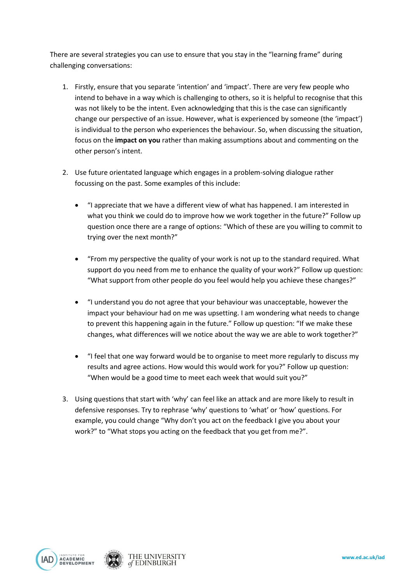There are several strategies you can use to ensure that you stay in the "learning frame" during challenging conversations:

- 1. Firstly, ensure that you separate 'intention' and 'impact'. There are very few people who intend to behave in a way which is challenging to others, so it is helpful to recognise that this was not likely to be the intent. Even acknowledging that this is the case can significantly change our perspective of an issue. However, what is experienced by someone (the 'impact') is individual to the person who experiences the behaviour. So, when discussing the situation, focus on the **impact on you** rather than making assumptions about and commenting on the other person's intent.
- 2. Use future orientated language which engages in a problem-solving dialogue rather focussing on the past. Some examples of this include:
	- "I appreciate that we have a different view of what has happened. I am interested in what you think we could do to improve how we work together in the future?" Follow up question once there are a range of options: "Which of these are you willing to commit to trying over the next month?"
	- "From my perspective the quality of your work is not up to the standard required. What support do you need from me to enhance the quality of your work?" Follow up question: "What support from other people do you feel would help you achieve these changes?"
	- "I understand you do not agree that your behaviour was unacceptable, however the impact your behaviour had on me was upsetting. I am wondering what needs to change to prevent this happening again in the future." Follow up question: "If we make these changes, what differences will we notice about the way we are able to work together?"
	- "I feel that one way forward would be to organise to meet more regularly to discuss my results and agree actions. How would this would work for you?" Follow up question: "When would be a good time to meet each week that would suit you?"
- 3. Using questions that start with 'why' can feel like an attack and are more likely to result in defensive responses. Try to rephrase 'why' questions to 'what' or 'how' questions. For example, you could change "Why don't you act on the feedback I give you about your work?" to "What stops you acting on the feedback that you get from me?".



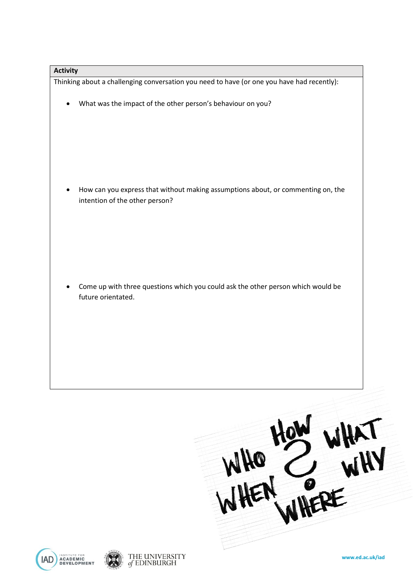#### **Activity**

Thinking about a challenging conversation you need to have (or one you have had recently):

What was the impact of the other person's behaviour on you?

 How can you express that without making assumptions about, or commenting on, the intention of the other person?

 Come up with three questions which you could ask the other person which would be future orientated.

 $\frac{1}{2}$ 





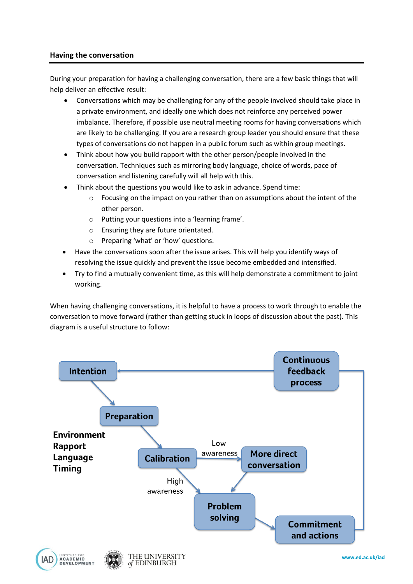### **Having the conversation**

During your preparation for having a challenging conversation, there are a few basic things that will help deliver an effective result:

- Conversations which may be challenging for any of the people involved should take place in a private environment, and ideally one which does not reinforce any perceived power imbalance. Therefore, if possible use neutral meeting rooms for having conversations which are likely to be challenging. If you are a research group leader you should ensure that these types of conversations do not happen in a public forum such as within group meetings.
- Think about how you build rapport with the other person/people involved in the conversation. Techniques such as mirroring body language, choice of words, pace of conversation and listening carefully will all help with this.
- Think about the questions you would like to ask in advance. Spend time:
	- $\circ$  Focusing on the impact on you rather than on assumptions about the intent of the other person.
	- o Putting your questions into a 'learning frame'.
	- o Ensuring they are future orientated.
	- o Preparing 'what' or 'how' questions.

of EDINBURGH

- Have the conversations soon after the issue arises. This will help you identify ways of resolving the issue quickly and prevent the issue become embedded and intensified.
- Try to find a mutually convenient time, as this will help demonstrate a commitment to joint working.

When having challenging conversations, it is helpful to have a process to work through to enable the conversation to move forward (rather than getting stuck in loops of discussion about the past). This diagram is a useful structure to follow:

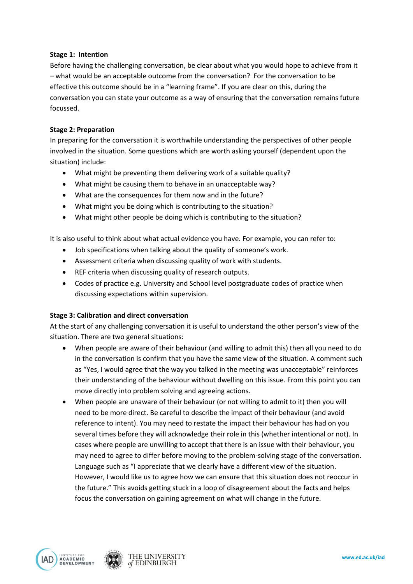#### **Stage 1: Intention**

Before having the challenging conversation, be clear about what you would hope to achieve from it – what would be an acceptable outcome from the conversation? For the conversation to be effective this outcome should be in a "learning frame". If you are clear on this, during the conversation you can state your outcome as a way of ensuring that the conversation remains future focussed.

#### **Stage 2: Preparation**

In preparing for the conversation it is worthwhile understanding the perspectives of other people involved in the situation. Some questions which are worth asking yourself (dependent upon the situation) include:

- What might be preventing them delivering work of a suitable quality?
- What might be causing them to behave in an unacceptable way?
- What are the consequences for them now and in the future?
- What might you be doing which is contributing to the situation?
- What might other people be doing which is contributing to the situation?

It is also useful to think about what actual evidence you have. For example, you can refer to:

- Job specifications when talking about the quality of someone's work.
- Assessment criteria when discussing quality of work with students.
- REF criteria when discussing quality of research outputs.
- Codes of practice e.g. University and School level postgraduate codes of practice when discussing expectations within supervision.

#### **Stage 3: Calibration and direct conversation**

At the start of any challenging conversation it is useful to understand the other person's view of the situation. There are two general situations:

- When people are aware of their behaviour (and willing to admit this) then all you need to do in the conversation is confirm that you have the same view of the situation. A comment such as "Yes, I would agree that the way you talked in the meeting was unacceptable" reinforces their understanding of the behaviour without dwelling on this issue. From this point you can move directly into problem solving and agreeing actions.
- When people are unaware of their behaviour (or not willing to admit to it) then you will need to be more direct. Be careful to describe the impact of their behaviour (and avoid reference to intent). You may need to restate the impact their behaviour has had on you several times before they will acknowledge their role in this (whether intentional or not). In cases where people are unwilling to accept that there is an issue with their behaviour, you may need to agree to differ before moving to the problem-solving stage of the conversation. Language such as "I appreciate that we clearly have a different view of the situation. However, I would like us to agree how we can ensure that this situation does not reoccur in the future." This avoids getting stuck in a loop of disagreement about the facts and helps focus the conversation on gaining agreement on what will change in the future.



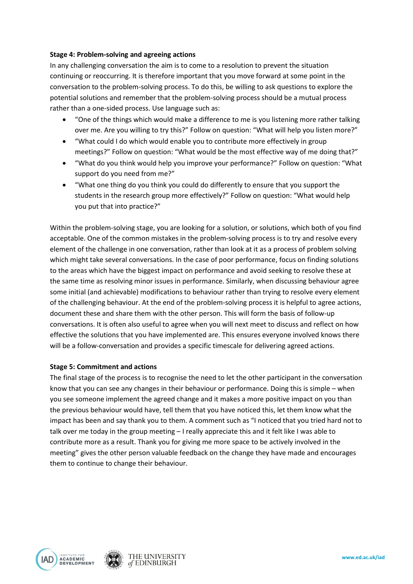#### **Stage 4: Problem-solving and agreeing actions**

In any challenging conversation the aim is to come to a resolution to prevent the situation continuing or reoccurring. It is therefore important that you move forward at some point in the conversation to the problem-solving process. To do this, be willing to ask questions to explore the potential solutions and remember that the problem-solving process should be a mutual process rather than a one-sided process. Use language such as:

- "One of the things which would make a difference to me is you listening more rather talking over me. Are you willing to try this?" Follow on question: "What will help you listen more?"
- "What could I do which would enable you to contribute more effectively in group meetings?" Follow on question: "What would be the most effective way of me doing that?"
- "What do you think would help you improve your performance?" Follow on question: "What support do you need from me?"
- "What one thing do you think you could do differently to ensure that you support the students in the research group more effectively?" Follow on question: "What would help you put that into practice?"

Within the problem-solving stage, you are looking for a solution, or solutions, which both of you find acceptable. One of the common mistakes in the problem-solving process is to try and resolve every element of the challenge in one conversation, rather than look at it as a process of problem solving which might take several conversations. In the case of poor performance, focus on finding solutions to the areas which have the biggest impact on performance and avoid seeking to resolve these at the same time as resolving minor issues in performance. Similarly, when discussing behaviour agree some initial (and achievable) modifications to behaviour rather than trying to resolve every element of the challenging behaviour. At the end of the problem-solving process it is helpful to agree actions, document these and share them with the other person. This will form the basis of follow-up conversations. It is often also useful to agree when you will next meet to discuss and reflect on how effective the solutions that you have implemented are. This ensures everyone involved knows there will be a follow-conversation and provides a specific timescale for delivering agreed actions.

#### **Stage 5: Commitment and actions**

The final stage of the process is to recognise the need to let the other participant in the conversation know that you can see any changes in their behaviour or performance. Doing this is simple – when you see someone implement the agreed change and it makes a more positive impact on you than the previous behaviour would have, tell them that you have noticed this, let them know what the impact has been and say thank you to them. A comment such as "I noticed that you tried hard not to talk over me today in the group meeting – I really appreciate this and it felt like I was able to contribute more as a result. Thank you for giving me more space to be actively involved in the meeting" gives the other person valuable feedback on the change they have made and encourages them to continue to change their behaviour.



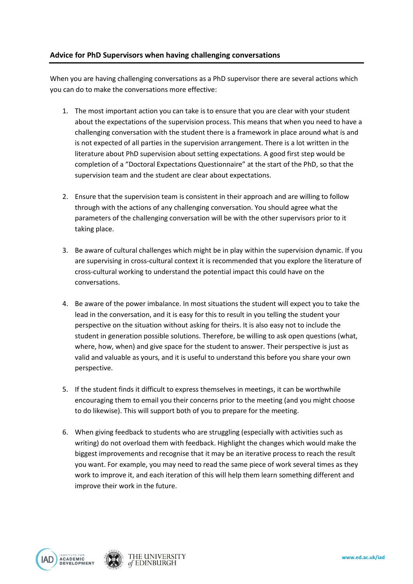### **Advice for PhD Supervisors when having challenging conversations**

When you are having challenging conversations as a PhD supervisor there are several actions which you can do to make the conversations more effective:

- 1. The most important action you can take is to ensure that you are clear with your student about the expectations of the supervision process. This means that when you need to have a challenging conversation with the student there is a framework in place around what is and is not expected of all parties in the supervision arrangement. There is a lot written in the literature about PhD supervision about setting expectations. A good first step would be completion of a "Doctoral Expectations Questionnaire" at the start of the PhD, so that the supervision team and the student are clear about expectations.
- 2. Ensure that the supervision team is consistent in their approach and are willing to follow through with the actions of any challenging conversation. You should agree what the parameters of the challenging conversation will be with the other supervisors prior to it taking place.
- 3. Be aware of cultural challenges which might be in play within the supervision dynamic. If you are supervising in cross-cultural context it is recommended that you explore the literature of cross-cultural working to understand the potential impact this could have on the conversations.
- 4. Be aware of the power imbalance. In most situations the student will expect you to take the lead in the conversation, and it is easy for this to result in you telling the student your perspective on the situation without asking for theirs. It is also easy not to include the student in generation possible solutions. Therefore, be willing to ask open questions (what, where, how, when) and give space for the student to answer. Their perspective is just as valid and valuable as yours, and it is useful to understand this before you share your own perspective.
- 5. If the student finds it difficult to express themselves in meetings, it can be worthwhile encouraging them to email you their concerns prior to the meeting (and you might choose to do likewise). This will support both of you to prepare for the meeting.
- 6. When giving feedback to students who are struggling (especially with activities such as writing) do not overload them with feedback. Highlight the changes which would make the biggest improvements and recognise that it may be an iterative process to reach the result you want. For example, you may need to read the same piece of work several times as they work to improve it, and each iteration of this will help them learn something different and improve their work in the future.